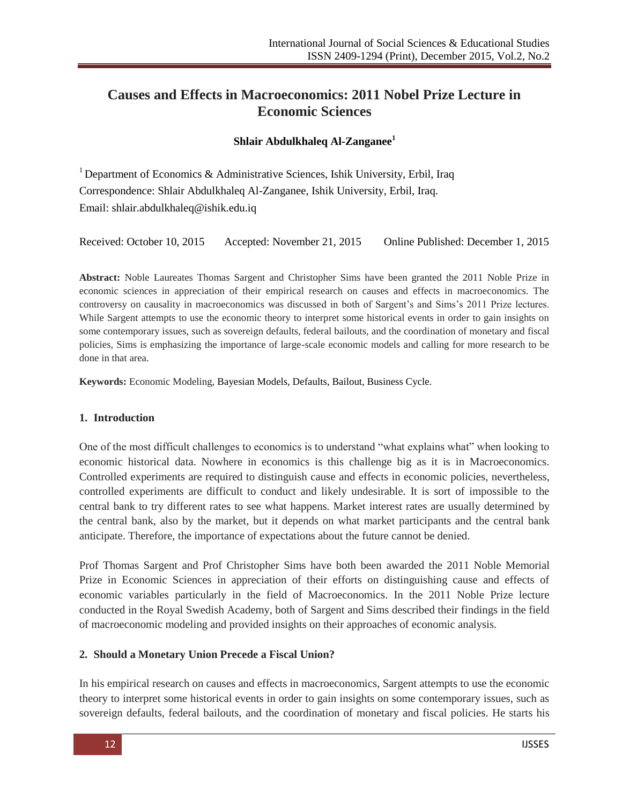# **Causes and Effects in Macroeconomics: 2011 Nobel Prize Lecture in Economic Sciences**

#### **Shlair Abdulkhaleq Al-Zanganee<sup>1</sup>**

<sup>1</sup> Department of Economics & Administrative Sciences, Ishik University, Erbil, Iraq Correspondence: Shlair Abdulkhaleq Al-Zanganee, Ishik University, Erbil, Iraq. Email: [shlair.abdulkhaleq@ishik.edu.iq](mailto:shlair.abdulkhaleq@ishik.edu.iq)

Received: October 10, 2015 Accepted: November 21, 2015 Online Published: December 1, 2015

**Abstract:** Noble Laureates Thomas Sargent and Christopher Sims have been granted the 2011 Noble Prize in economic sciences in appreciation of their empirical research on causes and effects in macroeconomics. The controversy on causality in macroeconomics was discussed in both of Sargent's and Sims's 2011 Prize lectures. While Sargent attempts to use the economic theory to interpret some historical events in order to gain insights on some contemporary issues, such as sovereign defaults, federal bailouts, and the coordination of monetary and fiscal policies, Sims is emphasizing the importance of large-scale economic models and calling for more research to be done in that area.

**Keywords:** Economic Modeling, Bayesian Models, Defaults, Bailout, Business Cycle.

#### **1. Introduction**

One of the most difficult challenges to economics is to understand "what explains what" when looking to economic historical data. Nowhere in economics is this challenge big as it is in Macroeconomics. Controlled experiments are required to distinguish cause and effects in economic policies, nevertheless, controlled experiments are difficult to conduct and likely undesirable. It is sort of impossible to the central bank to try different rates to see what happens. Market interest rates are usually determined by the central bank, also by the market, but it depends on what market participants and the central bank anticipate. Therefore, the importance of expectations about the future cannot be denied.

Prof Thomas Sargent and Prof Christopher Sims have both been awarded the 2011 Noble Memorial Prize in Economic Sciences in appreciation of their efforts on distinguishing cause and effects of economic variables particularly in the field of Macroeconomics. In the 2011 Noble Prize lecture conducted in the Royal Swedish Academy, both of Sargent and Sims described their findings in the field of macroeconomic modeling and provided insights on their approaches of economic analysis.

#### **2. Should a Monetary Union Precede a Fiscal Union?**

In his empirical research on causes and effects in macroeconomics, Sargent attempts to use the economic theory to interpret some historical events in order to gain insights on some contemporary issues, such as sovereign defaults, federal bailouts, and the coordination of monetary and fiscal policies. He starts his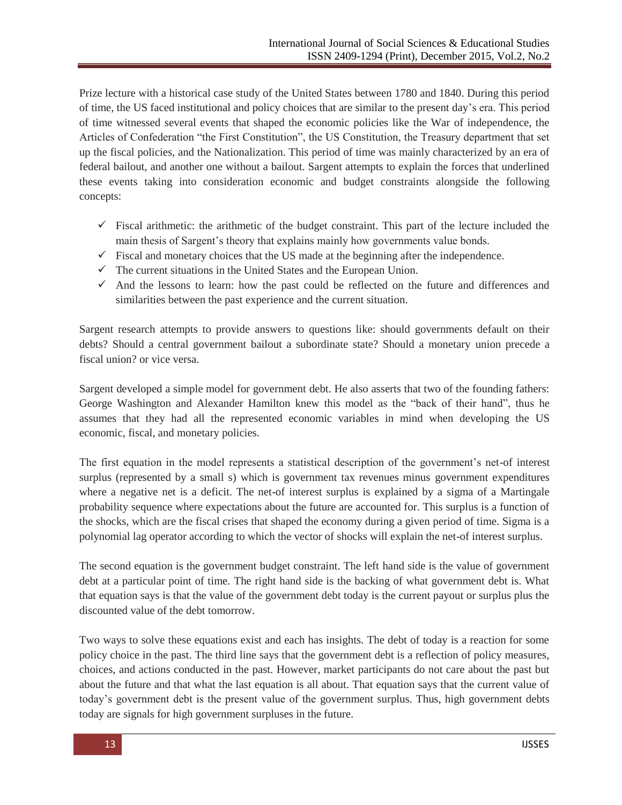Prize lecture with a historical case study of the United States between 1780 and 1840. During this period of time, the US faced institutional and policy choices that are similar to the present day's era. This period of time witnessed several events that shaped the economic policies like the War of independence, the Articles of Confederation "the First Constitution", the US Constitution, the Treasury department that set up the fiscal policies, and the Nationalization. This period of time was mainly characterized by an era of federal bailout, and another one without a bailout. Sargent attempts to explain the forces that underlined these events taking into consideration economic and budget constraints alongside the following concepts:

- $\checkmark$  Fiscal arithmetic: the arithmetic of the budget constraint. This part of the lecture included the main thesis of Sargent's theory that explains mainly how governments value bonds.
- $\checkmark$  Fiscal and monetary choices that the US made at the beginning after the independence.
- $\checkmark$  The current situations in the United States and the European Union.
- $\checkmark$  And the lessons to learn: how the past could be reflected on the future and differences and similarities between the past experience and the current situation.

Sargent research attempts to provide answers to questions like: should governments default on their debts? Should a central government bailout a subordinate state? Should a monetary union precede a fiscal union? or vice versa.

Sargent developed a simple model for government debt. He also asserts that two of the founding fathers: George Washington and Alexander Hamilton knew this model as the "back of their hand", thus he assumes that they had all the represented economic variables in mind when developing the US economic, fiscal, and monetary policies.

The first equation in the model represents a statistical description of the government's net-of interest surplus (represented by a small s) which is government tax revenues minus government expenditures where a negative net is a deficit. The net-of interest surplus is explained by a sigma of a Martingale probability sequence where expectations about the future are accounted for. This surplus is a function of the shocks, which are the fiscal crises that shaped the economy during a given period of time. Sigma is a polynomial lag operator according to which the vector of shocks will explain the net-of interest surplus.

The second equation is the government budget constraint. The left hand side is the value of government debt at a particular point of time. The right hand side is the backing of what government debt is. What that equation says is that the value of the government debt today is the current payout or surplus plus the discounted value of the debt tomorrow.

Two ways to solve these equations exist and each has insights. The debt of today is a reaction for some policy choice in the past. The third line says that the government debt is a reflection of policy measures, choices, and actions conducted in the past. However, market participants do not care about the past but about the future and that what the last equation is all about. That equation says that the current value of today's government debt is the present value of the government surplus. Thus, high government debts today are signals for high government surpluses in the future.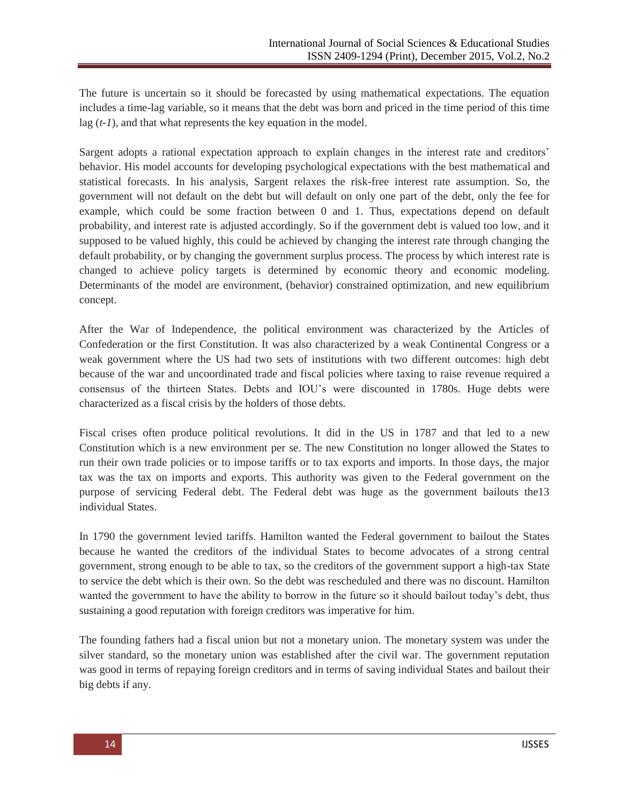The future is uncertain so it should be forecasted by using mathematical expectations. The equation includes a time-lag variable, so it means that the debt was born and priced in the time period of this time lag (*t-1*), and that what represents the key equation in the model.

Sargent adopts a rational expectation approach to explain changes in the interest rate and creditors' behavior. His model accounts for developing psychological expectations with the best mathematical and statistical forecasts. In his analysis, Sargent relaxes the risk-free interest rate assumption. So, the government will not default on the debt but will default on only one part of the debt, only the fee for example, which could be some fraction between 0 and 1. Thus, expectations depend on default probability, and interest rate is adjusted accordingly. So if the government debt is valued too low, and it supposed to be valued highly, this could be achieved by changing the interest rate through changing the default probability, or by changing the government surplus process. The process by which interest rate is changed to achieve policy targets is determined by economic theory and economic modeling. Determinants of the model are environment, (behavior) constrained optimization, and new equilibrium concept.

After the War of Independence, the political environment was characterized by the Articles of Confederation or the first Constitution. It was also characterized by a weak Continental Congress or a weak government where the US had two sets of institutions with two different outcomes: high debt because of the war and uncoordinated trade and fiscal policies where taxing to raise revenue required a consensus of the thirteen States. Debts and IOU's were discounted in 1780s. Huge debts were characterized as a fiscal crisis by the holders of those debts.

Fiscal crises often produce political revolutions. It did in the US in 1787 and that led to a new Constitution which is a new environment per se. The new Constitution no longer allowed the States to run their own trade policies or to impose tariffs or to tax exports and imports. In those days, the major tax was the tax on imports and exports. This authority was given to the Federal government on the purpose of servicing Federal debt. The Federal debt was huge as the government bailouts the13 individual States.

In 1790 the government levied tariffs. Hamilton wanted the Federal government to bailout the States because he wanted the creditors of the individual States to become advocates of a strong central government, strong enough to be able to tax, so the creditors of the government support a high-tax State to service the debt which is their own. So the debt was rescheduled and there was no discount. Hamilton wanted the government to have the ability to borrow in the future so it should bailout today's debt, thus sustaining a good reputation with foreign creditors was imperative for him.

The founding fathers had a fiscal union but not a monetary union. The monetary system was under the silver standard, so the monetary union was established after the civil war. The government reputation was good in terms of repaying foreign creditors and in terms of saving individual States and bailout their big debts if any.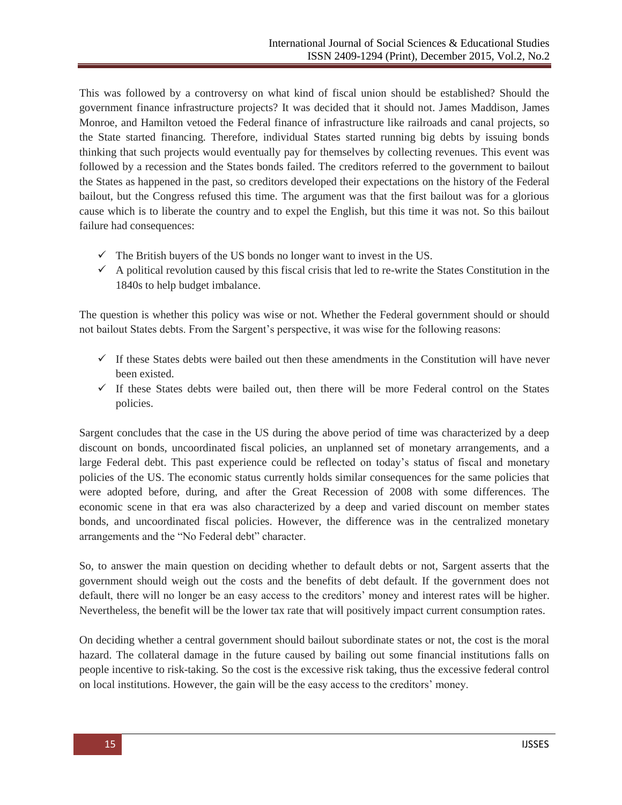This was followed by a controversy on what kind of fiscal union should be established? Should the government finance infrastructure projects? It was decided that it should not. James Maddison, James Monroe, and Hamilton vetoed the Federal finance of infrastructure like railroads and canal projects, so the State started financing. Therefore, individual States started running big debts by issuing bonds thinking that such projects would eventually pay for themselves by collecting revenues. This event was followed by a recession and the States bonds failed. The creditors referred to the government to bailout the States as happened in the past, so creditors developed their expectations on the history of the Federal bailout, but the Congress refused this time. The argument was that the first bailout was for a glorious cause which is to liberate the country and to expel the English, but this time it was not. So this bailout failure had consequences:

- $\checkmark$  The British buyers of the US bonds no longer want to invest in the US.
- $\checkmark$  A political revolution caused by this fiscal crisis that led to re-write the States Constitution in the 1840s to help budget imbalance.

The question is whether this policy was wise or not. Whether the Federal government should or should not bailout States debts. From the Sargent's perspective, it was wise for the following reasons:

- $\checkmark$  If these States debts were bailed out then these amendments in the Constitution will have never been existed.
- $\checkmark$  If these States debts were bailed out, then there will be more Federal control on the States policies.

Sargent concludes that the case in the US during the above period of time was characterized by a deep discount on bonds, uncoordinated fiscal policies, an unplanned set of monetary arrangements, and a large Federal debt. This past experience could be reflected on today's status of fiscal and monetary policies of the US. The economic status currently holds similar consequences for the same policies that were adopted before, during, and after the Great Recession of 2008 with some differences. The economic scene in that era was also characterized by a deep and varied discount on member states bonds, and uncoordinated fiscal policies. However, the difference was in the centralized monetary arrangements and the "No Federal debt" character.

So, to answer the main question on deciding whether to default debts or not, Sargent asserts that the government should weigh out the costs and the benefits of debt default. If the government does not default, there will no longer be an easy access to the creditors' money and interest rates will be higher. Nevertheless, the benefit will be the lower tax rate that will positively impact current consumption rates.

On deciding whether a central government should bailout subordinate states or not, the cost is the moral hazard. The collateral damage in the future caused by bailing out some financial institutions falls on people incentive to risk-taking. So the cost is the excessive risk taking, thus the excessive federal control on local institutions. However, the gain will be the easy access to the creditors' money.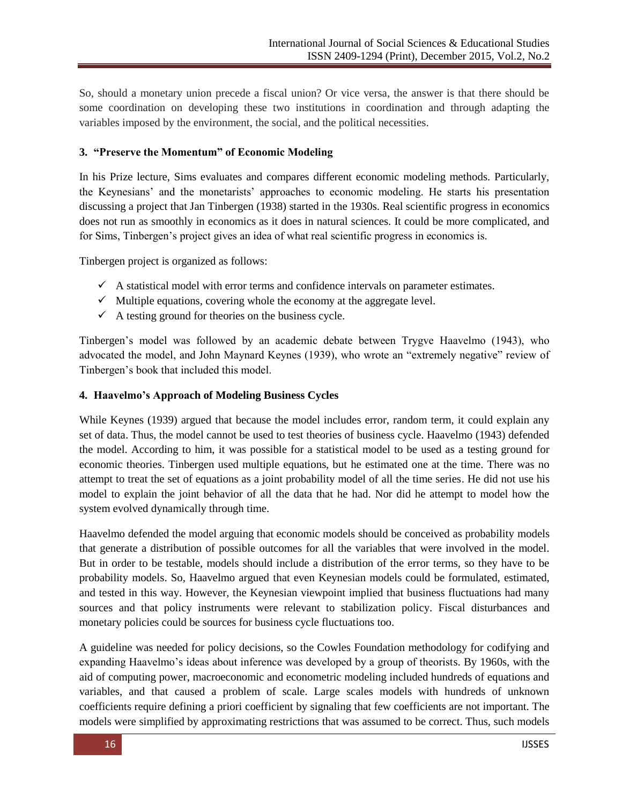So, should a monetary union precede a fiscal union? Or vice versa, the answer is that there should be some coordination on developing these two institutions in coordination and through adapting the variables imposed by the environment, the social, and the political necessities.

### **3. "Preserve the Momentum" of Economic Modeling**

In his Prize lecture, Sims evaluates and compares different economic modeling methods. Particularly, the Keynesians' and the monetarists' approaches to economic modeling. He starts his presentation discussing a project that Jan Tinbergen (1938) started in the 1930s. Real scientific progress in economics does not run as smoothly in economics as it does in natural sciences. It could be more complicated, and for Sims, Tinbergen's project gives an idea of what real scientific progress in economics is.

Tinbergen project is organized as follows:

- $\checkmark$  A statistical model with error terms and confidence intervals on parameter estimates.
- $\checkmark$  Multiple equations, covering whole the economy at the aggregate level.
- $\checkmark$  A testing ground for theories on the business cycle.

Tinbergen's model was followed by an academic debate between Trygve Haavelmo (1943), who advocated the model, and John Maynard Keynes (1939), who wrote an "extremely negative" review of Tinbergen's book that included this model.

#### **4. Haavelmo's Approach of Modeling Business Cycles**

While Keynes (1939) argued that because the model includes error, random term, it could explain any set of data. Thus, the model cannot be used to test theories of business cycle. Haavelmo (1943) defended the model. According to him, it was possible for a statistical model to be used as a testing ground for economic theories. Tinbergen used multiple equations, but he estimated one at the time. There was no attempt to treat the set of equations as a joint probability model of all the time series. He did not use his model to explain the joint behavior of all the data that he had. Nor did he attempt to model how the system evolved dynamically through time.

Haavelmo defended the model arguing that economic models should be conceived as probability models that generate a distribution of possible outcomes for all the variables that were involved in the model. But in order to be testable, models should include a distribution of the error terms, so they have to be probability models. So, Haavelmo argued that even Keynesian models could be formulated, estimated, and tested in this way. However, the Keynesian viewpoint implied that business fluctuations had many sources and that policy instruments were relevant to stabilization policy. Fiscal disturbances and monetary policies could be sources for business cycle fluctuations too.

A guideline was needed for policy decisions, so the Cowles Foundation methodology for codifying and expanding Haavelmo's ideas about inference was developed by a group of theorists. By 1960s, with the aid of computing power, macroeconomic and econometric modeling included hundreds of equations and variables, and that caused a problem of scale. Large scales models with hundreds of unknown coefficients require defining a priori coefficient by signaling that few coefficients are not important. The models were simplified by approximating restrictions that was assumed to be correct. Thus, such models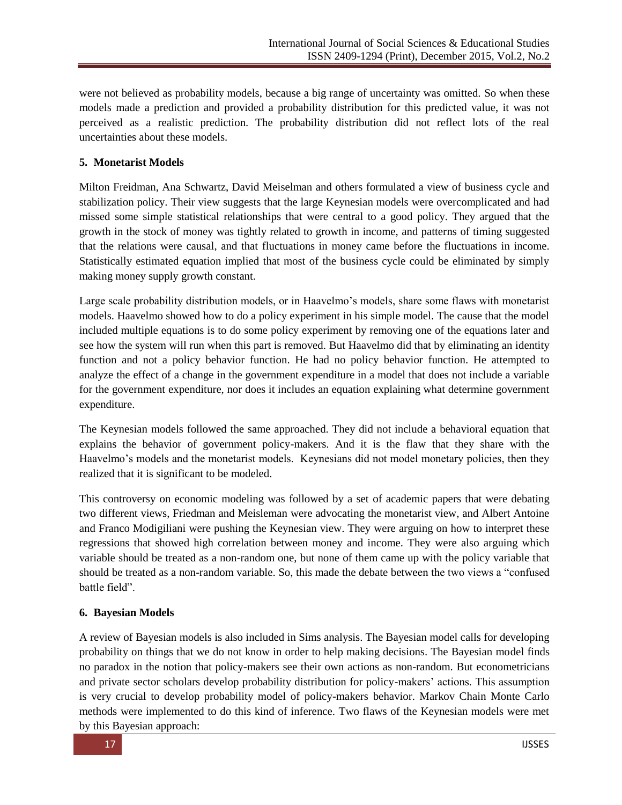were not believed as probability models, because a big range of uncertainty was omitted. So when these models made a prediction and provided a probability distribution for this predicted value, it was not perceived as a realistic prediction. The probability distribution did not reflect lots of the real uncertainties about these models.

## **5. Monetarist Models**

Milton Freidman, Ana Schwartz, David Meiselman and others formulated a view of business cycle and stabilization policy. Their view suggests that the large Keynesian models were overcomplicated and had missed some simple statistical relationships that were central to a good policy. They argued that the growth in the stock of money was tightly related to growth in income, and patterns of timing suggested that the relations were causal, and that fluctuations in money came before the fluctuations in income. Statistically estimated equation implied that most of the business cycle could be eliminated by simply making money supply growth constant.

Large scale probability distribution models, or in Haavelmo's models, share some flaws with monetarist models. Haavelmo showed how to do a policy experiment in his simple model. The cause that the model included multiple equations is to do some policy experiment by removing one of the equations later and see how the system will run when this part is removed. But Haavelmo did that by eliminating an identity function and not a policy behavior function. He had no policy behavior function. He attempted to analyze the effect of a change in the government expenditure in a model that does not include a variable for the government expenditure, nor does it includes an equation explaining what determine government expenditure.

The Keynesian models followed the same approached. They did not include a behavioral equation that explains the behavior of government policy-makers. And it is the flaw that they share with the Haavelmo's models and the monetarist models. Keynesians did not model monetary policies, then they realized that it is significant to be modeled.

This controversy on economic modeling was followed by a set of academic papers that were debating two different views, Friedman and Meisleman were advocating the monetarist view, and Albert Antoine and Franco Modigiliani were pushing the Keynesian view. They were arguing on how to interpret these regressions that showed high correlation between money and income. They were also arguing which variable should be treated as a non-random one, but none of them came up with the policy variable that should be treated as a non-random variable. So, this made the debate between the two views a "confused" battle field".

## **6. Bayesian Models**

A review of Bayesian models is also included in Sims analysis. The Bayesian model calls for developing probability on things that we do not know in order to help making decisions. The Bayesian model finds no paradox in the notion that policy-makers see their own actions as non-random. But econometricians and private sector scholars develop probability distribution for policy-makers' actions. This assumption is very crucial to develop probability model of policy-makers behavior. Markov Chain Monte Carlo methods were implemented to do this kind of inference. Two flaws of the Keynesian models were met by this Bayesian approach: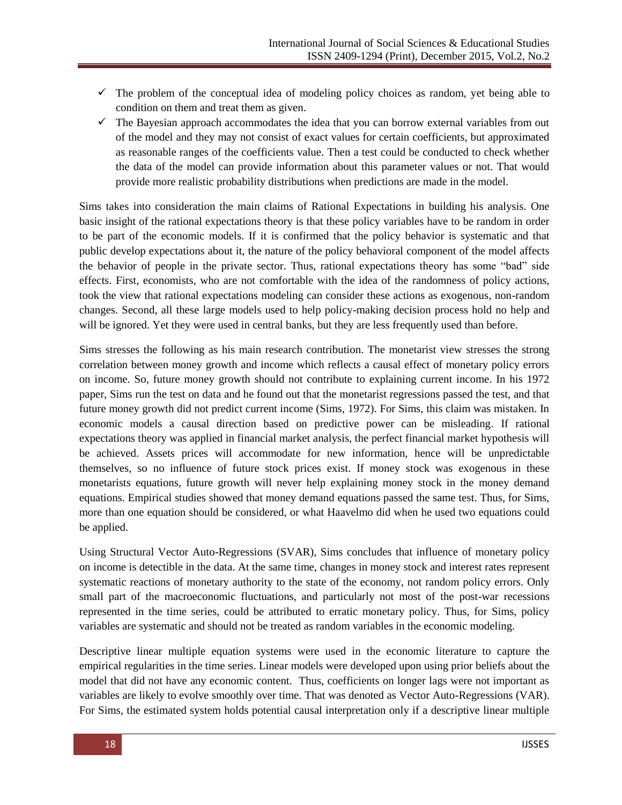- $\checkmark$  The problem of the conceptual idea of modeling policy choices as random, yet being able to condition on them and treat them as given.
- $\checkmark$  The Bayesian approach accommodates the idea that you can borrow external variables from out of the model and they may not consist of exact values for certain coefficients, but approximated as reasonable ranges of the coefficients value. Then a test could be conducted to check whether the data of the model can provide information about this parameter values or not. That would provide more realistic probability distributions when predictions are made in the model.

Sims takes into consideration the main claims of Rational Expectations in building his analysis. One basic insight of the rational expectations theory is that these policy variables have to be random in order to be part of the economic models. If it is confirmed that the policy behavior is systematic and that public develop expectations about it, the nature of the policy behavioral component of the model affects the behavior of people in the private sector. Thus, rational expectations theory has some "bad" side effects. First, economists, who are not comfortable with the idea of the randomness of policy actions, took the view that rational expectations modeling can consider these actions as exogenous, non-random changes. Second, all these large models used to help policy-making decision process hold no help and will be ignored. Yet they were used in central banks, but they are less frequently used than before.

Sims stresses the following as his main research contribution. The monetarist view stresses the strong correlation between money growth and income which reflects a causal effect of monetary policy errors on income. So, future money growth should not contribute to explaining current income. In his 1972 paper, Sims run the test on data and he found out that the monetarist regressions passed the test, and that future money growth did not predict current income (Sims, 1972). For Sims, this claim was mistaken. In economic models a causal direction based on predictive power can be misleading. If rational expectations theory was applied in financial market analysis, the perfect financial market hypothesis will be achieved. Assets prices will accommodate for new information, hence will be unpredictable themselves, so no influence of future stock prices exist. If money stock was exogenous in these monetarists equations, future growth will never help explaining money stock in the money demand equations. Empirical studies showed that money demand equations passed the same test. Thus, for Sims, more than one equation should be considered, or what Haavelmo did when he used two equations could be applied.

Using Structural Vector Auto-Regressions (SVAR), Sims concludes that influence of monetary policy on income is detectible in the data. At the same time, changes in money stock and interest rates represent systematic reactions of monetary authority to the state of the economy, not random policy errors. Only small part of the macroeconomic fluctuations, and particularly not most of the post-war recessions represented in the time series, could be attributed to erratic monetary policy. Thus, for Sims, policy variables are systematic and should not be treated as random variables in the economic modeling.

Descriptive linear multiple equation systems were used in the economic literature to capture the empirical regularities in the time series. Linear models were developed upon using prior beliefs about the model that did not have any economic content. Thus, coefficients on longer lags were not important as variables are likely to evolve smoothly over time. That was denoted as Vector Auto-Regressions (VAR). For Sims, the estimated system holds potential causal interpretation only if a descriptive linear multiple